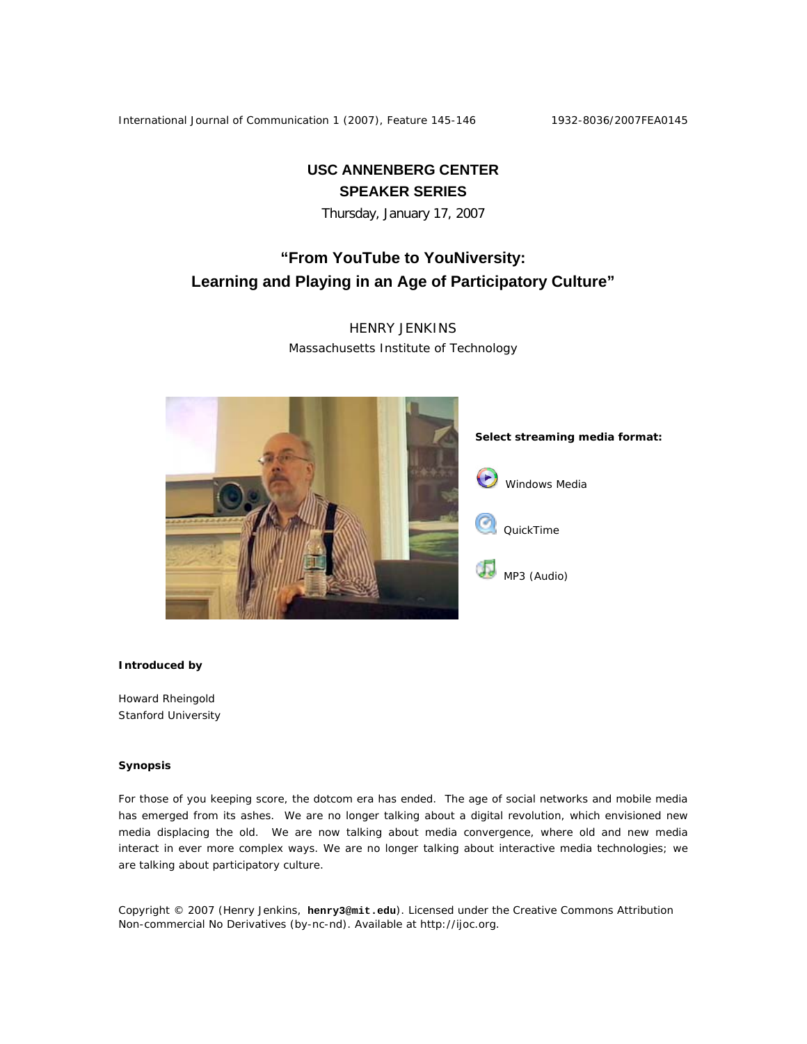International Journal of Communication 1 (2007), Feature 145-146 1932-8036/2007FEA0145

**USC ANNENBERG CENTER SPEAKER SERIES** 

Thursday, January 17, 2007

## **"From YouTube to YouNiversity: Learning and Playing in an Age of Participatory Culture"**

HENRY JENKINS Massachusetts Institute of Technology



## **Introduced by**

Howard Rheingold Stanford University

## **Synopsis**

For those of you keeping score, the dotcom era has ended. The age of social networks and mobile media has emerged from its ashes. We are no longer talking about a digital revolution, which envisioned new media displacing the old. We are now talking about media convergence, where old and new media interact in ever more complex ways. We are no longer talking about interactive media technologies; we are talking about participatory culture.

Copyright © 2007 (Henry Jenkins, **henry3@mit.edu**). Licensed under the Creative Commons Attribution Non-commercial No Derivatives (by-nc-nd). Available at http://ijoc.org.